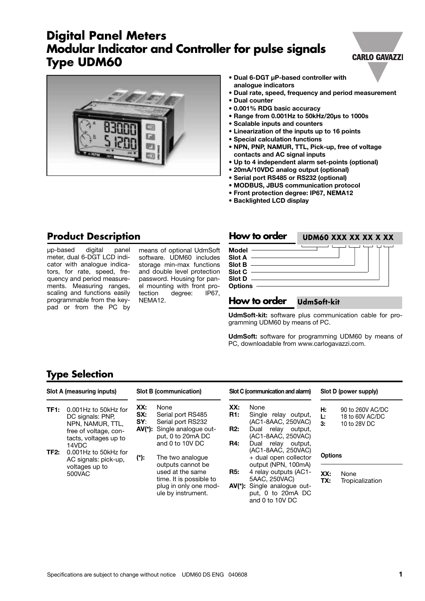# **Digital Panel Meters Modular Indicator and Controller for pulse signals Type UDM60**

#### **CARLO GAVAZZI**



- **• Dual 6-DGT µP-based controller with analogue indicators**
- **• Dual rate, speed, frequency and period measurement**
- **• Dual counter**
- **• 0.001% RDG basic accuracy**
- **• Range from 0.001Hz to 50kHz/20µs to 1000s**
- **• Scalable inputs and counters**
- **• Linearization of the inputs up to 16 points**
- **• Special calculation functions**
- **• NPN, PNP, NAMUR, TTL, Pick-up, free of voltage contacts and AC signal inputs**
- **• Up to 4 independent alarm set-points (optional)**
- **• 20mA/10VDC analog output (optional)**
- **• Serial port RS485 or RS232 (optional)**
- **• MODBUS, JBUS communication protocol**
- **• Front protection degree: IP67, NEMA12**
- **• Backlighted LCD display**

### **Product Description**

µp-based digital panel meter, dual 6-DGT LCD indicator with analogue indicators, for rate, speed, frequency and period measurements. Measuring ranges, scaling and functions easily programmable from the keypad or from the PC by

means of optional UdmSoft software. UDM60 includes storage min-max functions and double level protection password. Housing for panel mounting with front pro-<br>tection degree: IP67, degree: NEMA12.

| How to order                                                              | UDM60 XXX XX XX X XX |
|---------------------------------------------------------------------------|----------------------|
| Model $-$<br>Slot $A -$<br><b>Slot B</b><br>Slot C<br>Slot D<br>Options - |                      |

#### **How to order UdmSoft-kit**

**UdmSoft-kit:** software plus communication cable for programming UDM60 by means of PC.

**UdmSoft:** software for programming UDM60 by means of PC, downloadable from www.carlogavazzi.com.

### **Type Selection**

|                   | Slot A (measuring inputs)                                                                                                                                                                                                             |                   | Slot B (communication)                                                                                                                                                              |                                        | Slot C (communication and alarm)                                                                                           |                | Slot D (power supply)                               |
|-------------------|---------------------------------------------------------------------------------------------------------------------------------------------------------------------------------------------------------------------------------------|-------------------|-------------------------------------------------------------------------------------------------------------------------------------------------------------------------------------|----------------------------------------|----------------------------------------------------------------------------------------------------------------------------|----------------|-----------------------------------------------------|
| TF <sub>1</sub> : | 0.001Hz to 50kHz for<br>DC signals: PNP.<br>NPN, NAMUR, TTL,<br>free of voltage, con-<br>tacts, voltages up to<br>14VDC                                                                                                               | XX:<br>SX:<br>SY: | None<br>Serial port RS485<br>Serial port RS232<br>AV(*): Single analogue out-<br>put, 0 to 20mA DC<br>and 0 to 10V DC                                                               | XX:<br>R1:<br><b>R2:</b><br><b>R4:</b> | None<br>Single relay output,<br>(AC1-8AAC, 250VAC)<br>relay output,<br>Dual<br>(AC1-8AAC, 250VAC)<br>relay output,<br>Dual | Н.<br>Ŀ.<br>3: | 90 to 260V AC/DC<br>18 to 60V AC/DC<br>10 to 28V DC |
| TF2:              | 0.001Hz to 50kHz for<br>(*):<br>The two analogue<br>AC signals: pick-up,<br>outputs cannot be<br>voltages up to<br>used at the same<br><b>R5:</b><br>500VAC<br>time. It is possible to<br>plug in only one mod-<br>ule by instrument. |                   | (AC1-8AAC, 250VAC)<br>+ dual open collector<br>output (NPN, 100mA)<br>4 relay outputs (AC1-<br>5AAC, 250VAC)<br>AV(*): Single analogue out-<br>put, 0 to 20mA DC<br>and 0 to 10V DC | <b>Options</b><br>XX:<br>TX:           | None<br>Tropicalization                                                                                                    |                |                                                     |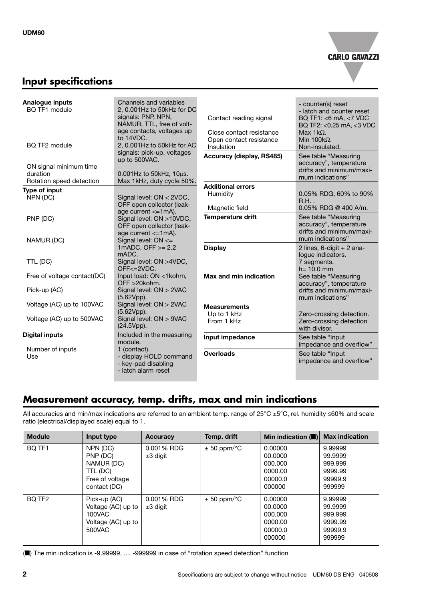

### **Input specifications**

| Analogue inputs<br>BQ TF1 module<br>BQ TF2 module              | Channels and variables<br>2.0.001Hz to 50kHz for DC<br>signals: PNP, NPN,<br>NAMUR, TTL, free of volt-<br>age contacts, voltages up<br>to 14VDC.<br>2, 0.001Hz to 50kHz for AC | Contact reading signal<br>Close contact resistance<br>Open contact resistance<br>Insulation | - counter(s) reset<br>- latch and counter reset<br>BQ TF1: <6 mA, <7 VDC<br>BQ TF2: <0.25 mA, <3 VDC<br>Max $1k\Omega$ .<br>Min $100k\Omega$ .<br>Non-insulated. |
|----------------------------------------------------------------|--------------------------------------------------------------------------------------------------------------------------------------------------------------------------------|---------------------------------------------------------------------------------------------|------------------------------------------------------------------------------------------------------------------------------------------------------------------|
| ON signal minimum time<br>duration<br>Rotation speed detection | signals: pick-up, voltages<br>up to 500VAC.<br>$0.001$ Hz to $50$ kHz, $10$ µs.<br>Max 1kHz, duty cycle 50%.                                                                   | Accuracy (display, RS485)                                                                   | See table "Measuring<br>accuracy", temperature<br>drifts and minimum/maxi-<br>mum indications"                                                                   |
|                                                                |                                                                                                                                                                                | <b>Additional errors</b>                                                                    |                                                                                                                                                                  |
| Type of input<br>NPN (DC)                                      | Signal level: ON < 2VDC,<br>OFF open collector (leak-                                                                                                                          | Humidity                                                                                    | 0.05% RDG, 60% to 90%<br>$R.H.$ .                                                                                                                                |
| PNP (DC)                                                       | age current $\leq$ 1mA).<br>Signal level: ON >10VDC,<br>OFF open collector (leak-<br>age current $\leq$ 1mA).                                                                  | Magnetic field<br><b>Temperature drift</b>                                                  | $0.05\%$ RDG @ 400 A/m.<br>See table "Measuring<br>accuracy", temperature<br>drifts and minimum/maxi-                                                            |
| NAMUR (DC)                                                     | Signal level: $ON \leq$<br>1mADC, OFF $>= 2.2$<br>mADC.                                                                                                                        | <b>Display</b>                                                                              | mum indications"<br>2 lines, $6$ -digit + 2 ana-<br>logue indicators.                                                                                            |
| TTL (DC)                                                       | Signal level: ON >4VDC,<br>$OFF < = 2VDC$ .                                                                                                                                    |                                                                                             | 7 segments.<br>$h = 10.0$ mm                                                                                                                                     |
| Free of voltage contact(DC)                                    | Input load: ON <1kohm,<br>OFF >20kohm.                                                                                                                                         | Max and min indication                                                                      | See table "Measuring<br>accuracy", temperature                                                                                                                   |
| Pick-up (AC)                                                   | Signal level: ON > 2VAC<br>(5.62Vpp).                                                                                                                                          |                                                                                             | drifts and minimum/maxi-<br>mum indications"                                                                                                                     |
| Voltage (AC) up to 100VAC                                      | Signal level: ON > 2VAC<br>(5.62Vpp).                                                                                                                                          | <b>Measurements</b><br>Up to 1 kHz                                                          | Zero-crossing detection.                                                                                                                                         |
| Voltage (AC) up to 500VAC                                      | Signal level: ON > 9VAC<br>(24.5Vpp).                                                                                                                                          | From 1 kHz                                                                                  | Zero-crossing detection<br>with divisor.                                                                                                                         |
| <b>Digital inputs</b>                                          | Included in the measuring<br>module.                                                                                                                                           | Input impedance                                                                             | See table "Input"<br>impedance and overflow"                                                                                                                     |
| Number of inputs<br>Use                                        | 1 (contact).<br>- display HOLD command<br>- key-pad disabling<br>- latch alarm reset                                                                                           | <b>Overloads</b>                                                                            | See table "Input<br>impedance and overflow"                                                                                                                      |

### **Measurement accuracy, temp. drifts, max and min indications**

All accuracies and min/max indications are referred to an ambient temp. range of 25°C ±5°C, rel. humidity ≤60% and scale ratio (electrical/displayed scale) equal to 1.

| <b>Module</b>      | Input type                                                                   | Accuracy                    | Temp. drift               | Min indication $(\blacksquare)$                               | <b>Max indication</b>                                         |
|--------------------|------------------------------------------------------------------------------|-----------------------------|---------------------------|---------------------------------------------------------------|---------------------------------------------------------------|
| BO TF1             | NPN (DC)<br>PNP (DC)<br>NAMUR (DC)                                           | 0.001% RDG<br>$\pm 3$ digit | $\pm$ 50 ppm/ $\degree$ C | 0.00000<br>00.0000<br>000.000                                 | 9.99999<br>99.9999<br>999.999                                 |
|                    | TTL (DC)<br>Free of voltage<br>contact (DC)                                  |                             |                           | 0000.00<br>00000.0<br>000000                                  | 9999.99<br>99999.9<br>999999                                  |
| BO TF <sub>2</sub> | Pick-up (AC)<br>Voltage (AC) up to<br>100VAC<br>Voltage (AC) up to<br>500VAC | 0.001% RDG<br>$\pm 3$ digit | $\pm$ 50 ppm/ $\degree$ C | 0.00000<br>00.0000<br>000.000<br>0000.00<br>00000.0<br>000000 | 9.99999<br>99.9999<br>999.999<br>9999.99<br>99999.9<br>999999 |

(■) The min indication is -9.99999, ..., -999999 in case of "rotation speed detection" function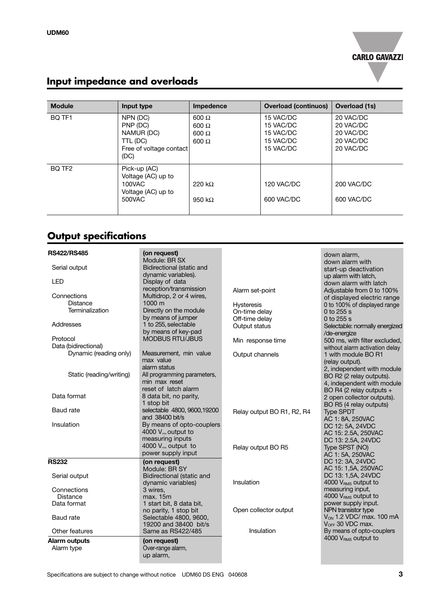

# **Input impedance and overloads**

| <b>Module</b>      | Input type                                                                        | Impedence                                                    | <b>Overload (continuos)</b>                                   | <b>Overload (1s)</b>                                          |
|--------------------|-----------------------------------------------------------------------------------|--------------------------------------------------------------|---------------------------------------------------------------|---------------------------------------------------------------|
| BQ TF1             | NPN (DC)<br>PNP (DC)<br>NAMUR (DC)<br>TTL (DC)<br>Free of voltage contact<br>(DC) | $600 \Omega$<br>$600 \Omega$<br>$600 \Omega$<br>$600 \Omega$ | 15 VAC/DC<br>15 VAC/DC<br>15 VAC/DC<br>15 VAC/DC<br>15 VAC/DC | 20 VAC/DC<br>20 VAC/DC<br>20 VAC/DC<br>20 VAC/DC<br>20 VAC/DC |
| BQ TF <sub>2</sub> | Pick-up (AC)<br>Voltage (AC) up to<br>100VAC<br>Voltage (AC) up to<br>500VAC      | 220 k $\Omega$<br>950 k $\Omega$                             | 120 VAC/DC<br>600 VAC/DC                                      | 200 VAC/DC<br>600 VAC/DC                                      |

# **Output specifications**

| <b>RS422/RS485</b>       | (on request)<br>Module: BR SX    |                            | down alarm,                                            |
|--------------------------|----------------------------------|----------------------------|--------------------------------------------------------|
| Serial output            | <b>Bidirectional (static and</b> |                            | down alarm with                                        |
|                          | dynamic variables).              |                            | start-up deactivation                                  |
| <b>LED</b>               | Display of data                  |                            | up alarm with latch,                                   |
|                          | reception/transmission           |                            | down alarm with latch                                  |
| Connections              | Multidrop, 2 or 4 wires,         | Alarm set-point            | Adiustable from 0 to 100%                              |
| Distance                 | 1000 m                           |                            | of displayed electric range                            |
| Terminalization          | Directly on the module           | <b>Hysteresis</b>          | 0 to 100% of displayed range                           |
|                          | by means of jumper               | On-time delay              | 0 to 255 s                                             |
| Addresses                | 1 to 255, selectable             | Off-time delay             | 0 to 255 s                                             |
|                          | by means of key-pad              | Output status              | Selectable: normally energized                         |
| Protocol                 | <b>MODBUS RTU/JBUS</b>           |                            | /de-energize                                           |
| Data (bidirectional)     |                                  | Min response time          | 500 ms, with filter excluded,                          |
| Dynamic (reading only)   | Measurement, min value           |                            | without alarm activation delay<br>1 with module BO R1  |
|                          | max value                        | Output channels            |                                                        |
|                          | alarm status                     |                            | (relay output).                                        |
| Static (reading/writing) | All programming parameters,      |                            | 2, independent with module                             |
|                          | min max reset                    |                            | BO R2 (2 relay outputs).                               |
|                          | reset of latch alarm             |                            | 4, independent with module<br>BO R4 (2 relay outputs + |
| Data format              | 8 data bit, no parity,           |                            | 2 open collector outputs).                             |
|                          | 1 stop bit                       |                            | BO R5 (4 relay outputs)                                |
| <b>Baud</b> rate         | selectable 4800, 9600, 19200     | Relay output BO R1, R2, R4 | <b>Type SPDT</b>                                       |
|                          | and 38400 bit/s                  |                            | AC 1: 8A, 250VAC                                       |
| Insulation               | By means of opto-couplers        |                            | DC 12: 5A, 24VDC                                       |
|                          | 4000 V <sub>rms</sub> output to  |                            | AC 15: 2.5A, 250VAC                                    |
|                          | measuring inputs                 |                            | DC 13: 2.5A, 24VDC                                     |
|                          | 4000 $V_{\text{rms}}$ output to  | Relay output BO R5         | Type SPST (NO)                                         |
|                          | power supply input               |                            | AC 1: 5A, 250VAC                                       |
| <b>RS232</b>             | (on request)                     |                            | DC 12: 3A, 24VDC                                       |
|                          | Module: BR SY                    |                            | AC 15: 1,5A, 250VAC                                    |
| Serial output            | <b>Bidirectional (static and</b> |                            | DC 13: 1,5A, 24VDC                                     |
|                          | dynamic variables)               | Insulation                 | 4000 V <sub>RMS</sub> output to                        |
| Connections              | 3 wires,                         |                            | measuring input,                                       |
| Distance                 | max. 15m                         |                            | 4000 V <sub>RMS</sub> output to                        |
| Data format              | 1 start bit, 8 data bit,         |                            | power supply input.                                    |
|                          | no parity, 1 stop bit            | Open collector output      | NPN transistor type                                    |
| Baud rate                | Selectable 4800, 9600,           |                            | $V_{ON}$ 1.2 VDC/ max. 100 mA                          |
|                          | 19200 and 38400 bit/s            |                            | V <sub>OFF</sub> 30 VDC max.                           |
| Other features           | Same as RS422/485                | Insulation                 | By means of opto-couplers                              |
| Alarm outputs            | (on request)                     |                            | 4000 VRMS output to                                    |
| Alarm type               | Over-range alarm,                |                            |                                                        |
|                          | up alarm,                        |                            |                                                        |
|                          |                                  |                            |                                                        |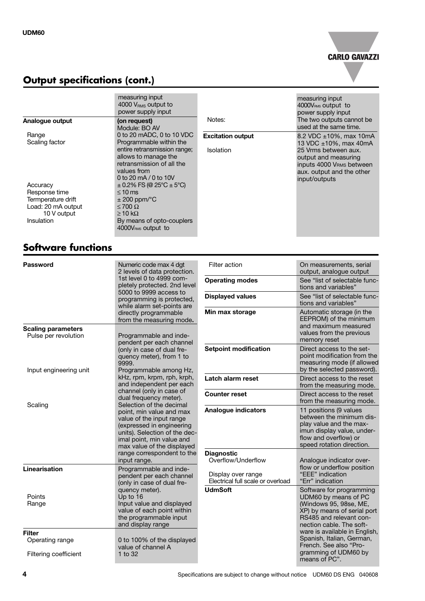

# **Output specifications (cont.)**

|                                   | measuring input<br>4000 $V_{BMS}$ output to<br>power supply input                                                         |                          | measuring input<br>4000V <sub>RMS</sub> output to<br>power supply input                                                |
|-----------------------------------|---------------------------------------------------------------------------------------------------------------------------|--------------------------|------------------------------------------------------------------------------------------------------------------------|
| Analogue output                   | (on request)<br>Module: BO AV                                                                                             | Notes:                   | The two outputs cannot be<br>used at the same time.                                                                    |
| Range<br>Scaling factor           | 0 to 20 mADC, 0 to 10 VDC<br>Programmable within the                                                                      | <b>Excitation output</b> | 8.2 VDC $\pm$ 10%, max 10mA<br>13 VDC $\pm 10\%$ , max 40mA                                                            |
|                                   | entire retransmission range;<br>allows to manage the<br>retransmission of all the<br>values from<br>0 to 20 mA / 0 to 10V | <b>Isolation</b>         | 25 Vrms between aux.<br>output and measuring<br>inputs 4000 VRMs between<br>aux. output and the other<br>input/outputs |
| Accuracy<br>Response time         | $\pm$ 0.2% FS (@ 25°C $\pm$ 5°C)<br>$\leq 10$ ms                                                                          |                          |                                                                                                                        |
| Termperature drift                | $\pm$ 200 ppm/ $\degree$ C                                                                                                |                          |                                                                                                                        |
| Load: 20 mA output<br>10 V output | $\leq 700 \Omega$<br>$\geq$ 10 k $\Omega$                                                                                 |                          |                                                                                                                        |
| <b>Insulation</b>                 | By means of opto-couplers<br>4000V <sub>RMS</sub> output to                                                               |                          |                                                                                                                        |

# **Software functions**

| <b>Password</b>                                                                                                                                                                          | Numeric code max 4 dgt<br>2 levels of data protection.                                                 | Filter action                                           | On measurements, serial<br>output, analogue output                                                                                                                |
|------------------------------------------------------------------------------------------------------------------------------------------------------------------------------------------|--------------------------------------------------------------------------------------------------------|---------------------------------------------------------|-------------------------------------------------------------------------------------------------------------------------------------------------------------------|
|                                                                                                                                                                                          | 1st level 0 to 4999 com-<br>pletely protected. 2nd level                                               | <b>Operating modes</b>                                  | See "list of selectable func-<br>tions and variables"                                                                                                             |
|                                                                                                                                                                                          | 5000 to 9999 access to<br>programming is protected,<br>while alarm set-points are                      | <b>Displayed values</b>                                 | See "list of selectable func-<br>tions and variables"                                                                                                             |
|                                                                                                                                                                                          | directly programmable<br>from the measuring mode.                                                      | Min max storage                                         | Automatic storage (in the<br>EEPROM) of the minimum                                                                                                               |
| <b>Scaling parameters</b><br>Pulse per revolution                                                                                                                                        | Programmable and inde-<br>pendent per each channel                                                     |                                                         | and maximum measured<br>values from the previous<br>memory reset                                                                                                  |
| Input engineering unit                                                                                                                                                                   | (only in case of dual fre-<br>quency meter), from 1 to<br>9999.<br>Programmable among Hz,              | <b>Setpoint modification</b>                            | Direct access to the set-<br>point modification from the<br>measuring mode (if allowed<br>by the selected password).                                              |
|                                                                                                                                                                                          | kHz, rpm, krpm, rph, krph,<br>and independent per each                                                 | Latch alarm reset                                       | Direct access to the reset<br>from the measuring mode.                                                                                                            |
|                                                                                                                                                                                          | channel (only in case of<br>dual frequency meter).<br>Selection of the decimal                         | <b>Counter reset</b>                                    | Direct access to the reset<br>from the measuring mode.                                                                                                            |
| Scaling<br>point, min value and max<br>value of the input range<br>(expressed in engineering<br>units). Selection of the dec-<br>imal point, min value and<br>max value of the displayed |                                                                                                        | <b>Analogue indicators</b>                              | 11 positions (9 values<br>between the minimum dis-<br>play value and the max-<br>imun display value, under-<br>flow and overflow) or<br>speed rotation direction. |
|                                                                                                                                                                                          | range correspondent to the<br>input range.                                                             | <b>Diagnostic</b><br>Overflow/Underflow                 | Analogue indicator over-                                                                                                                                          |
| Linearisation                                                                                                                                                                            | Programmable and inde-<br>pendent per each channel<br>(only in case of dual fre-                       | Display over range<br>Electrical full scale or overload | flow or underflow position<br>"EEE" indication<br>"Err" indication                                                                                                |
| Points                                                                                                                                                                                   | quency meter).<br>Up to 16                                                                             | <b>UdmSoft</b>                                          | Software for programming<br>UDM60 by means of PC                                                                                                                  |
| Range                                                                                                                                                                                    | Input value and displayed<br>value of each point within<br>the programmable input<br>and display range |                                                         | (Windows 95, 98se, ME,<br>XP) by means of serial port<br>RS485 and relevant con-<br>nection cable. The soft-                                                      |
| <b>Filter</b><br>Operating range                                                                                                                                                         | 0 to 100% of the displayed<br>value of channel A                                                       |                                                         | ware is available in English,<br>Spanish, Italian, German,<br>French. See also "Pro-                                                                              |
| Filtering coefficient                                                                                                                                                                    | 1 to 32                                                                                                |                                                         | gramming of UDM60 by<br>means of PC".                                                                                                                             |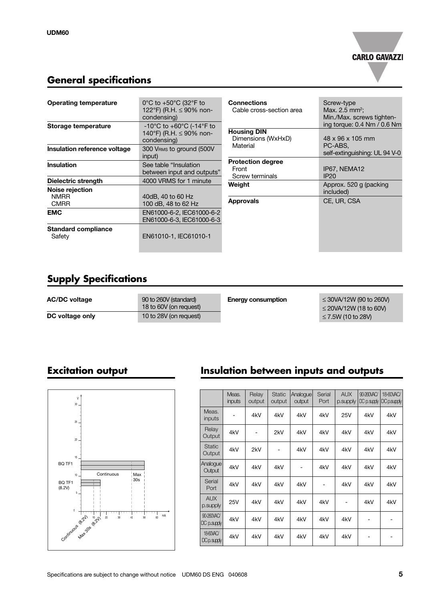

i Nm

 $V-0$ 

### **General specifications**

| <b>Operating temperature</b>                  | $0^{\circ}$ C to +50 $^{\circ}$ C (32 $^{\circ}$ F to<br>122°F) (R.H. ≤ 90% non-<br>condensing) | <b>Connections</b><br>Cable cross-section area       | Screw-type<br>Max. 2.5 $mm2$ :<br>Min./Max. screws tighten- |
|-----------------------------------------------|-------------------------------------------------------------------------------------------------|------------------------------------------------------|-------------------------------------------------------------|
| Storage temperature                           | -10°C to +60°C (-14°F to<br>140°F) (R.H. $\leq$ 90% non-<br>condensing)                         | <b>Housing DIN</b><br>Dimensions (WxHxD)             | ing torque: 0.4 Nm / 0.6 N<br>$48 \times 96 \times 105$ mm  |
| Insulation reference voltage                  | 300 VRMs to ground (500V<br>input)                                                              | Material                                             | PC-ABS.<br>self-extinguishing: UL 94 V                      |
| <b>Insulation</b>                             | See table "Insulation<br>between input and outputs"                                             | <b>Protection degree</b><br>Front<br>Screw terminals | IP67, NEMA12<br>IP20                                        |
| Dielectric strength                           | 4000 VRMS for 1 minute                                                                          | Weight                                               | Approx. 520 g (packing                                      |
| Noise rejection<br><b>NMRR</b><br><b>CMRR</b> | 40dB, 40 to 60 Hz<br>100 dB, 48 to 62 Hz                                                        | <b>Approvals</b>                                     | included)<br>CE, UR, CSA                                    |
| <b>EMC</b>                                    | EN61000-6-2, IEC61000-6-2<br>EN61000-6-3. IEC61000-6-3                                          |                                                      |                                                             |
| <b>Standard compliance</b><br>Safety          | EN61010-1, IEC61010-1                                                                           |                                                      |                                                             |

# **Supply Specifications**

| <b>AC/DC voltage</b> | 90 to 260V (standard)<br>18 to 60V (on request) | <b>Energy consumption</b> | $\leq$ 30VA/12W (90 to 260V)<br>$\leq$ 20VA/12W (18 to 60V) |
|----------------------|-------------------------------------------------|---------------------------|-------------------------------------------------------------|
| DC voltage only      | 10 to 28V (on request)                          |                           | $\leq$ 7.5W (10 to 28V)                                     |



# **Excitation output Insulation between inputs and outputs**

| V<br>$30\,$                                                                     |                              | Meas.<br>inputs | Relay<br>output          | <b>Static</b><br>output | Analogue<br>output | Serial<br>Port | <b>AUX</b><br>p.supply | 90-260VAC/<br>DC p.supply DC p.supply | 18-60VAC/ |
|---------------------------------------------------------------------------------|------------------------------|-----------------|--------------------------|-------------------------|--------------------|----------------|------------------------|---------------------------------------|-----------|
| $25\,$                                                                          | Meas.<br>inputs              | $\overline{a}$  | 4kV                      | 4kV                     | 4kV                | 4kV            | 25V                    | 4kV                                   | 4kV       |
| $20\,$                                                                          | Relay<br>Output              | 4kV             | $\overline{\phantom{a}}$ | 2kV                     | 4kV                | 4kV            | 4kV                    | 4kV                                   | 4kV       |
| 15                                                                              | <b>Static</b><br>Output      | 4kV             | 2kV                      | ۰                       | 4kV                | 4kV            | 4kV                    | 4kV                                   | 4kV       |
| Q TF1<br>Max<br>Continuous<br>$10 -$                                            | Analogue<br>Output           | 4kV             | 4kV                      | 4kV                     | $\qquad \qquad$    | 4kV            | 4kV                    | 4kV                                   | 4kV       |
| 30s<br><b>IQ TF1</b><br>3.2V)<br>$5 -$                                          | Serial<br>Port               | 4kV             | 4kV                      | 4kV                     | 4kV                | ۰              | 4kV                    | 4kV                                   | 4kV       |
| $\,0\,$                                                                         | <b>AUX</b><br>p.supply       | <b>25V</b>      | 4kV                      | 4kV                     | 4kV                | 4kV            | ۰                      | 4kV                                   | 4kV       |
| ارت التاليات<br>mA<br>60<br>20<br>30 <sup>°</sup><br>50<br>40<br>Mat 309 (e.25) | 90-260VAC/<br>$ DC$ p.supply | 4kV             | 4kV                      | 4kV                     | 4kV                | 4kV            | 4kV                    |                                       |           |
| Jontinuous (B.21)                                                               | 18-60VAC/<br>DCp.supply      | 4kV             | 4kV                      | 4kV                     | 4kV                | 4kV            | 4kV                    | -                                     |           |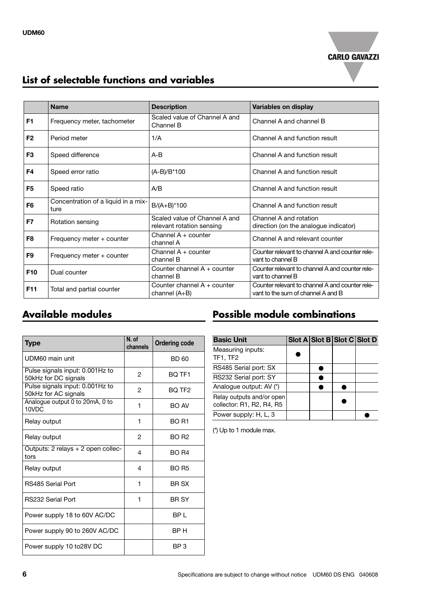

## **List of selectable functions and variables**

|                 | <b>Name</b>                                 | <b>Description</b>                                         | Variables on display                                                                  |
|-----------------|---------------------------------------------|------------------------------------------------------------|---------------------------------------------------------------------------------------|
| F <sub>1</sub>  | Frequency meter, tachometer                 | Scaled value of Channel A and<br>Channel B                 | Channel A and channel B                                                               |
| F <sub>2</sub>  | Period meter                                | 1/A                                                        | Channel A and function result                                                         |
| F <sub>3</sub>  | Speed difference                            | $A-B$                                                      | Channel A and function result                                                         |
| F4              | Speed error ratio                           | (A-B)/B*100                                                | Channel A and function result                                                         |
| F <sub>5</sub>  | Speed ratio                                 | A/B                                                        | Channel A and function result                                                         |
| F <sub>6</sub>  | Concentration of a liquid in a mix-<br>ture | $B/(A+B)^*100$                                             | Channel A and function result                                                         |
| F7              | Rotation sensing                            | Scaled value of Channel A and<br>relevant rotation sensing | Channel A and rotation<br>direction (on the analogue indicator)                       |
| F <sub>8</sub>  | Frequency meter + counter                   | Channel $A + counter$<br>channel A                         | Channel A and relevant counter                                                        |
| F <sub>9</sub>  | Frequency meter + counter                   | Channel $A + counter$<br>channel B                         | Counter relevant to channel A and counter rele-<br>vant to channel B                  |
| F <sub>10</sub> | Dual counter                                | Counter channel A + counter<br>channel B                   | Counter relevant to channel A and counter rele-<br>vant to channel B                  |
| F <sub>11</sub> | Total and partial counter                   | Counter channel A + counter<br>channel (A+B)               | Counter relevant to channel A and counter rele-<br>vant to the sum of channel A and B |

| <b>Type</b>                                             | N. of<br>channels | <b>Ordering code</b> |
|---------------------------------------------------------|-------------------|----------------------|
| UDM60 main unit                                         |                   | BD 60                |
| Pulse signals input: 0.001Hz to<br>50kHz for DC signals | 2                 | BQ TF1               |
| Pulse signals input: 0.001Hz to<br>50kHz for AC signals | 2                 | BO TF <sub>2</sub>   |
| Analogue output 0 to 20mA, 0 to<br>10VDC                | 1                 | <b>BO AV</b>         |
| Relay output                                            | 1                 | BO R1                |
| Relay output                                            | 2                 | <b>BO R2</b>         |
| Outputs: 2 relays + 2 open collec-<br>tors              | 4                 | BO R4                |
| Relay output                                            | 4                 | <b>BO R5</b>         |
| RS485 Serial Port                                       | 1                 | <b>BR SX</b>         |
| <b>RS232 Serial Port</b>                                | 1                 | <b>BR SY</b>         |
| Power supply 18 to 60V AC/DC                            |                   | BP L                 |
| Power supply 90 to 260V AC/DC                           |                   | BP H                 |
| Power supply 10 to 28 VDC                               |                   | BP 3                 |

## **Available modules Possible module combinations**

| <b>Basic Unit</b>                                      | Slot A Slot B Slot C Slot D |  |
|--------------------------------------------------------|-----------------------------|--|
| Measuring inputs:<br>TF1, TF2                          |                             |  |
| RS485 Serial port: SX                                  |                             |  |
| RS232 Serial port: SY                                  |                             |  |
| Analoque output: AV (*)                                |                             |  |
| Relay outputs and/or open<br>collector: R1, R2, R4, R5 |                             |  |
| Power supply: H, L, 3                                  |                             |  |

(\*) Up to 1 module max.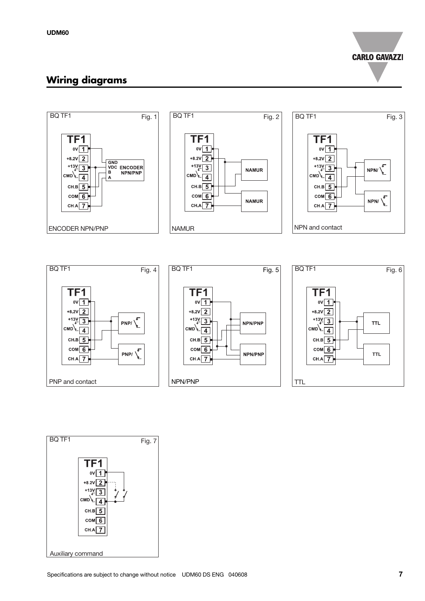**CARLO GAVAZZI** 

### **Wiring diagrams**



![](_page_6_Figure_4.jpeg)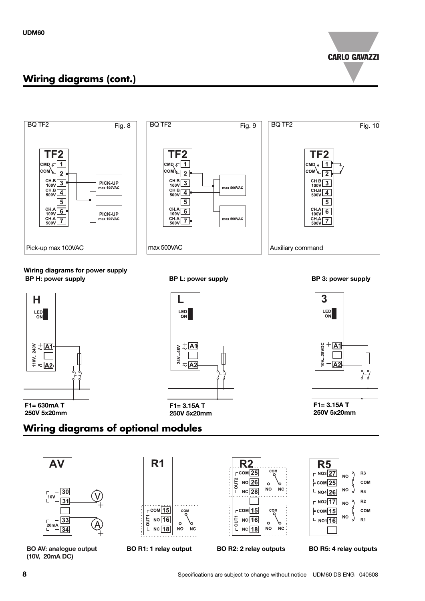![](_page_7_Picture_1.jpeg)

## **Wiring diagrams (cont.)**

![](_page_7_Figure_3.jpeg)

**BP H: power supply BP L: power supply Wiring diagrams for power supply**

![](_page_7_Figure_5.jpeg)

LED<br>ON  $\frac{2}{3} + \frac{1}{2}$   $\frac{1}{2} + \frac{1}{2}$   $\frac{1}{2} + \frac{1}{2}$  $\approx$  A2

**F1= 3.15A T 250V 5x20mm**

**BP 3: power supply**

![](_page_7_Figure_9.jpeg)

**250V 5x20mm**

# **Wiring diagrams of optional modules**

![](_page_7_Figure_12.jpeg)

**BO AV: analogue output BO R1: 1 relay output BO R2: 2 relay outputs (10V, 20mA DC)**

![](_page_7_Figure_14.jpeg)

![](_page_7_Figure_16.jpeg)

![](_page_7_Figure_17.jpeg)

**BO R5: 4 relay outputs**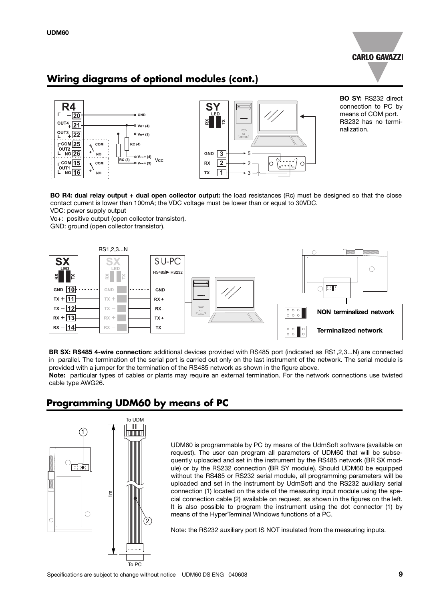![](_page_8_Picture_1.jpeg)

### **Wiring diagrams of optional modules (cont.)**

![](_page_8_Figure_3.jpeg)

**BO SY:** RS232 direct connection to PC by means of COM port. RS232 has no terminalization.

**BO R4: dual relay output + dual open collector output:** the load resistances (Rc) must be designed so that the close contact current is lower than 100mA; the VDC voltage must be lower than or equal to 30VDC. VDC: power supply output

Vo+: positive output (open collector transistor).

GND: ground (open collector transistor).

![](_page_8_Figure_9.jpeg)

**BR SX: RS485 4-wire connection:** additional devices provided with RS485 port (indicated as RS1,2,3...N) are connected in parallel. The termination of the serial port is carried out only on the last instrument of the network. The serial module is provided with a jumper for the termination of the RS485 network as shown in the figure above.

**Note:** particular types of cables or plants may require an external termination. For the network connections use twisted cable type AWG26.

### **Programming UDM60 by means of PC**

![](_page_8_Figure_13.jpeg)

UDM60 is programmable by PC by means of the UdmSoft software (available on request). The user can program all parameters of UDM60 that will be subsequently uploaded and set in the instrument by the RS485 network (BR SX module) or by the RS232 connection (BR SY module). Should UDM60 be equipped without the RS485 or RS232 serial module, all programming parameters will be uploaded and set in the instrument by UdmSoft and the RS232 auxiliary serial connection (1) located on the side of the measuring input module using the special connection cable (2) available on request, as shown in the figures on the left. It is also possible to program the instrument using the dot connector (1) by means of the HyperTerminal Windows functions of a PC.

Note: the RS232 auxiliary port IS NOT insulated from the measuring inputs.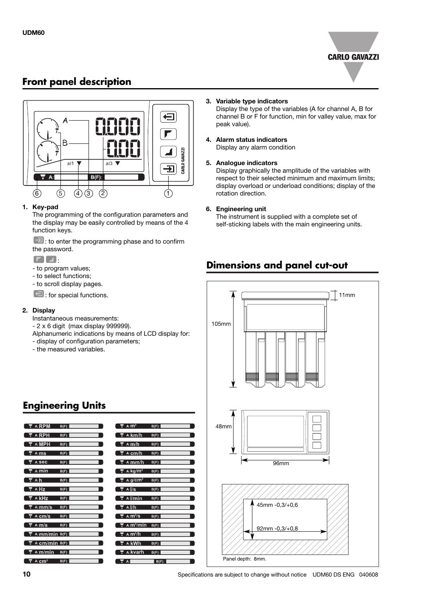![](_page_9_Picture_1.jpeg)

### **Front panel description**

![](_page_9_Figure_3.jpeg)

#### **1. Key-pad**

The programming of the configuration parameters and the display may be easily controlled by means of the 4 function keys.

 $\boxed{-1}$ : to enter the programming phase and to confirm the password.

 $\Gamma$   $\Box$ 

- to program values;
- to select functions;
- to scroll display pages.

 $\Box$ : for special functions.

#### **2. Display**

Instantaneous measurements:

- 2 x 6 digit (max display 999999).

- Alphanumeric indications by means of LCD display for:
- display of configuration parameters;
- the measured variables.

#### **3. Variable type indicators**

Display the type of the variables (A for channel A, B for channel B or F for function, min for valley value, max for peak value).

#### **4. Alarm status indicators** Display any alarm condition

#### **5. Analogue indicators**

Display graphically the amplitude of the variables with respect to their selected minimum and maximum limits; display overload or underload conditions; display of the rotation direction.

#### **6. Engineering unit**

The instrument is supplied with a complete set of self-sticking labels with the main engineering units.

### **Dimensions and panel cut-out**

![](_page_9_Figure_26.jpeg)

# **Engineering Units**

| $\nabla$ A: RPM                                                                             | $B(F)$ :                                |  |
|---------------------------------------------------------------------------------------------|-----------------------------------------|--|
| $\overline{r}$ A: RPH                                                                       | $B(F)$ :                                |  |
| $\overline{\mathbf{v}}$ A: MPH                                                              | $B(F)$ :                                |  |
| $\sqrt{\pi}$ A: ms                                                                          | $B(F):$ <b>Example 2.1</b>              |  |
| $\overline{\nabla}$ A: Sec $\overline{\nabla}$                                              | $B(F)$ :                                |  |
| <b>V</b> A: <b>min</b> $B(F)$ :                                                             |                                         |  |
| $\nabla$ A:h $\Box$                                                                         | $B(F)$ :                                |  |
| <b>च</b> A: <b>Hz</b>                                                                       | $B(F):$ $\qquad \qquad$                 |  |
| <b>T</b> A: $k$ Hz B(F):                                                                    |                                         |  |
|                                                                                             | $\nabla$ A: mm/s B(F):                  |  |
| $\overline{\phantom{a}}$ A: $\overline{\phantom{a}}$ A: $\overline{\phantom{a}}$ Cm/s B(F): |                                         |  |
| $\overline{\phantom{a}}$ A: m/s B(F):                                                       |                                         |  |
|                                                                                             | $\overline{\mathbf{v}}$ A: mm/min B(F): |  |
| $\overline{\tau}$ A:cm/min B(F):                                                            |                                         |  |
| <b>V</b> A: $m/min$ B(F):                                                                   |                                         |  |
|                                                                                             |                                         |  |

![](_page_9_Picture_29.jpeg)